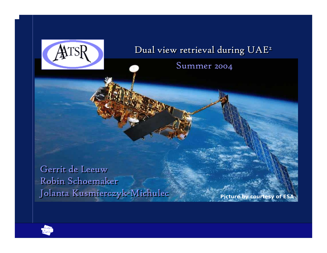

### Dual view retrieval during UAE 2 Dual view retrieval during UAE 2

Summer 2004 Summer 2004

Gerrit de Leeuw Gerrit de Leeuw Robin Schoemaker Robin Schoemaker Jolanta Kusmierczyk-Michulec Jolanta Kusmierczyk-Michulec *Picture by courtesy of ESA*

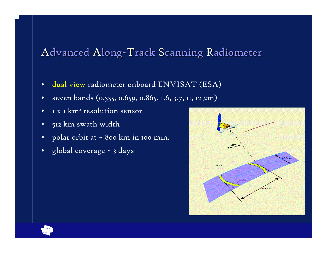## Advanced Along-Track Scanning Radiometer

- •• dual view radiometer onboard ENVISAT (ESA)
- •seven bands (0.555, 0.659, 0.865, 1.6, 3.7, 11, 12 µm)
- •1 x 1 km² resolution sensor
- •512 km swath width
- •polar orbit at ~ 800 km in 100 min.
- •global coverage ~ 3 days



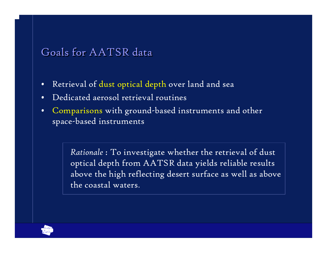### Goals for AATSR data

- •Retrieval of dust optical depth over land and sea
- •Dedicated aerosol retrieval routines
- $\bullet$  Comparisons with ground-based instruments and other space-based instruments

*Rationale* : To investigate whether the retrieval of dust optical depth from AATSR data yields reliable results above the high reflecting desert surface as well as above the coastal waters.

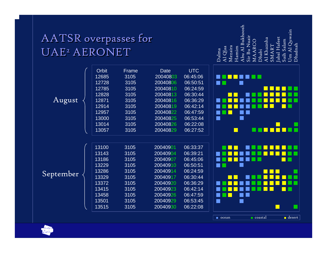# AATSR overpasses for AATSR overpasses for UAE<del>2</del> AERONET

**Orbit** 

Frame

August

September

| 12685         | 3105 | 20040803 | 06:45:06 |
|---------------|------|----------|----------|
| 12728         | 3105 | 20040806 | 06:50:51 |
| 12785         | 3105 | 20040810 | 06:24:59 |
| 12828         | 3105 | 20040813 | 06:30:44 |
| 12871         | 3105 | 20040816 | 06:36:29 |
| <u> 12914</u> | 3105 | 20040819 | 06:42:14 |
| 12957         | 3105 | 20040822 | 06:47:59 |
| 13000         | 3105 | 20040825 | 06:53:44 |
| 13014         | 3105 | 20040826 | 06:22:08 |
| 13057         | 3105 | 20040829 | 06:27:52 |
|               |      |          |          |
| 13100         | 3105 | 20040901 | 06:33:37 |
| 13143         | 3105 | 20040904 | 06:39:21 |
| 13186         | 3105 | 20040907 | 06:45:06 |
| 13229         | 3105 | 20040910 | 06:50:51 |
| 13286         | 3105 | 20040914 | 06:24:59 |
| 13329         | 3105 | 20040917 | 06:30:44 |
| 13372         | 3105 | 20040920 | 06:36:29 |
| 13415         | 3105 | 20040923 | 06:42:14 |
| 13458         | 3105 | 20040926 | 06:47:59 |
| 13501         | 3105 | 20040929 | 06:53:45 |
| 13515         | 3105 | 20040930 | 06:22:08 |
|               |      |          |          |

Date UTC

Abu Al Bukhoosh Um Al Quwain<br>Dhadnah Um Al Quwain Sir Bu Nuair Jabal Hafeet Jabal Hafeet Al Khaznha Al Khaznha Saih Salam MAARCO MAARCO Saih Salam Dhadnah SMART SMART Dalma Al Qlaa Mezaira Hamim Dhabi



ocean

coastal desert